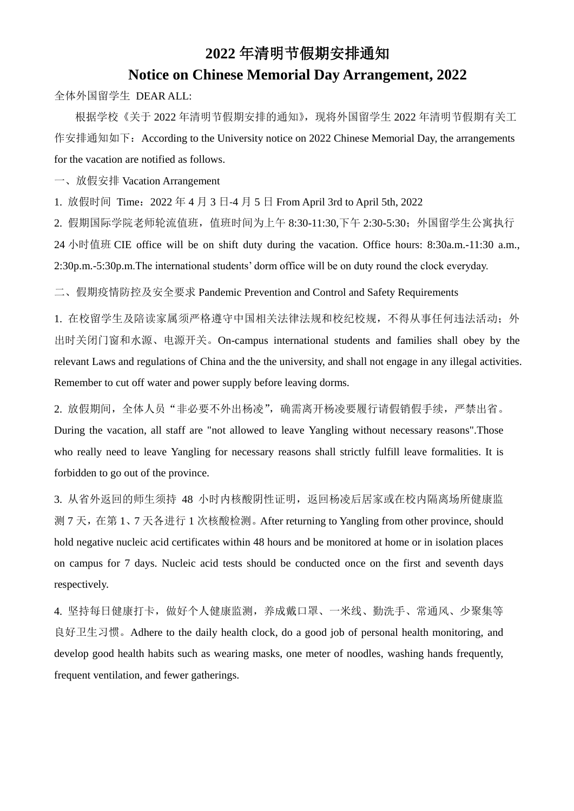## **2022** 年清明节假期安排通知 **Notice on Chinese Memorial Day Arrangement, 2022**

全体外国留学生 DEAR ALL:

根据学校《关于 2022 年清明节假期安排的通知》,现将外国留学生 2022 年清明节假期有关工 作安排通知如下: According to the University notice on 2022 Chinese Memorial Day, the arrangements for the vacation are notified as follows.

一、放假安排 Vacation Arrangement

2. 假期国际学院老师轮流值班, 值班时间为上午 8:30-11:30,下午 2:30-5:30; 外国留学生公寓执行 24 小时值班 CIE office will be on shift duty during the vacation. Office hours: 8:30a.m.-11:30 a.m., 2:30p.m.-5:30p.m.The international students' dorm office will be on duty round the clock everyday.

1. 放假时间 Time:2022 年 4 月 3 日-4 月 5 日 From April 3rd to April 5th, 2022

1. 在校留学生及陪读家属须严格遵守中国相关法律法规和校纪校规,不得从事任何违法活动;外 出时关闭门窗和水源、电源开关。On-campus international students and families shall obey by the relevant Laws and regulations of China and the the university, and shall not engage in any illegal activities. Remember to cut off water and power supply before leaving dorms.

2. 放假期间,全体人员"非必要不外出杨凌",确需离开杨凌要履行请假销假手续,严禁出省。 During the vacation, all staff are "not allowed to leave Yangling without necessary reasons".Those who really need to leave Yangling for necessary reasons shall strictly fulfill leave formalities. It is forbidden to go out of the province.

二、假期疫情防控及安全要求 Pandemic Prevention and Control and Safety Requirements

3. 从省外返回的师生须持 48 小时内核酸阴性证明, 返回杨凌后居家或在校内隔离场所健康监 测 7 天,在第 1、7 天各进行 1 次核酸检测。After returning to Yangling from other province, should hold negative nucleic acid certificates within 48 hours and be monitored at home or in isolation places on campus for 7 days. Nucleic acid tests should be conducted once on the first and seventh days respectively.

4. 坚持每日健康打卡,做好个人健康监测,养成戴口罩、一米线、勤洗手、常通风、少聚集等

良好卫生习惯。Adhere to the daily health clock, do a good job of personal health monitoring, and develop good health habits such as wearing masks, one meter of noodles, washing hands frequently, frequent ventilation, and fewer gatherings.